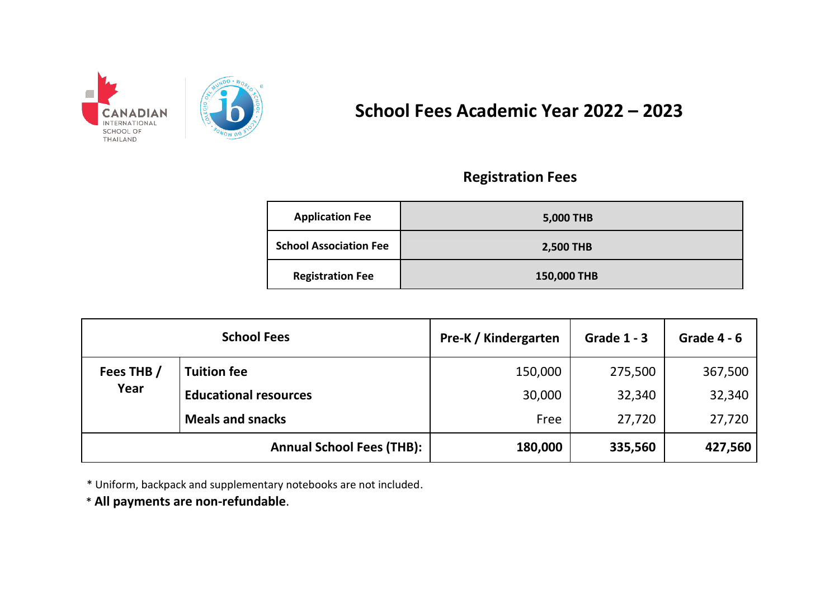

# **School Fees Academic Year 2022 – 2023**

### **Registration Fees**

| <b>Application Fee</b>        | 5,000 THB   |
|-------------------------------|-------------|
| <b>School Association Fee</b> | 2,500 THB   |
| <b>Registration Fee</b>       | 150,000 THB |

| <b>School Fees</b>               |                              | Pre-K / Kindergarten | <b>Grade 1 - 3</b> | Grade $4 - 6$ |
|----------------------------------|------------------------------|----------------------|--------------------|---------------|
| Fees THB /<br>Year               | <b>Tuition fee</b>           | 150,000              | 275,500            | 367,500       |
|                                  | <b>Educational resources</b> | 30,000               | 32,340             | 32,340        |
|                                  | <b>Meals and snacks</b>      | Free                 | 27,720             | 27,720        |
| <b>Annual School Fees (THB):</b> |                              | 180,000              | 335,560            | 427,560       |

\* Uniform, backpack and supplementary notebooks are not included.

\* **All payments are non-refundable**.